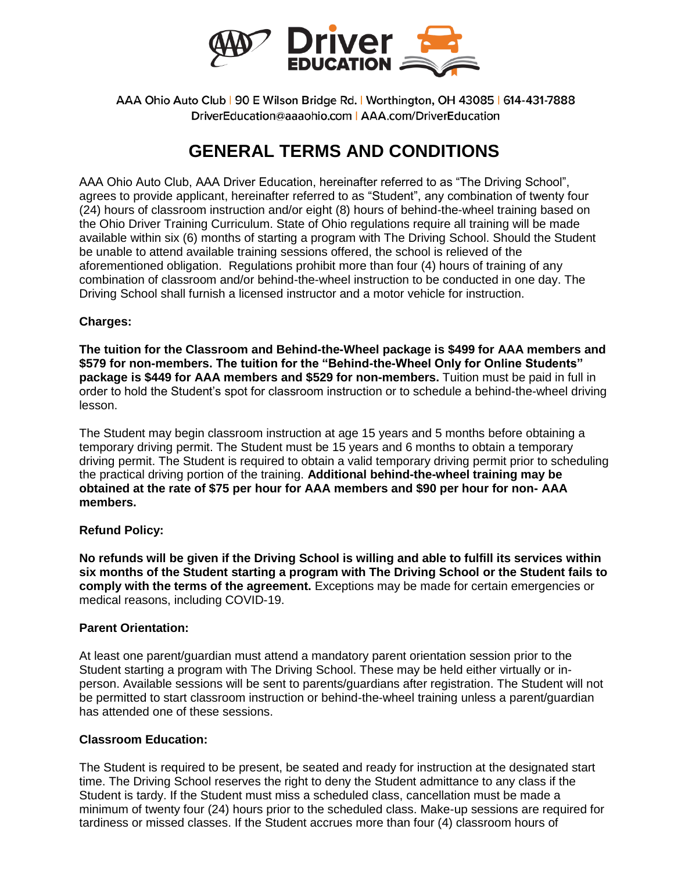

AAA Ohio Auto Club | 90 E Wilson Bridge Rd. | Worthington, OH 43085 | 614-431-7888 DriverEducation@aaaohio.com | AAA.com/DriverEducation

# **GENERAL TERMS AND CONDITIONS**

AAA Ohio Auto Club, AAA Driver Education, hereinafter referred to as "The Driving School", agrees to provide applicant, hereinafter referred to as "Student", any combination of twenty four (24) hours of classroom instruction and/or eight (8) hours of behind-the-wheel training based on the Ohio Driver Training Curriculum. State of Ohio regulations require all training will be made available within six (6) months of starting a program with The Driving School. Should the Student be unable to attend available training sessions offered, the school is relieved of the aforementioned obligation. Regulations prohibit more than four (4) hours of training of any combination of classroom and/or behind-the-wheel instruction to be conducted in one day. The Driving School shall furnish a licensed instructor and a motor vehicle for instruction.

## **Charges:**

**The tuition for the Classroom and Behind-the-Wheel package is \$499 for AAA members and \$579 for non-members. The tuition for the "Behind-the-Wheel Only for Online Students" package is \$449 for AAA members and \$529 for non-members.** Tuition must be paid in full in order to hold the Student's spot for classroom instruction or to schedule a behind-the-wheel driving lesson.

The Student may begin classroom instruction at age 15 years and 5 months before obtaining a temporary driving permit. The Student must be 15 years and 6 months to obtain a temporary driving permit. The Student is required to obtain a valid temporary driving permit prior to scheduling the practical driving portion of the training. **Additional behind-the-wheel training may be obtained at the rate of \$75 per hour for AAA members and \$90 per hour for non- AAA members.**

## **Refund Policy:**

**No refunds will be given if the Driving School is willing and able to fulfill its services within six months of the Student starting a program with The Driving School or the Student fails to comply with the terms of the agreement.** Exceptions may be made for certain emergencies or medical reasons, including COVID-19.

## **Parent Orientation:**

At least one parent/guardian must attend a mandatory parent orientation session prior to the Student starting a program with The Driving School. These may be held either virtually or inperson. Available sessions will be sent to parents/guardians after registration. The Student will not be permitted to start classroom instruction or behind-the-wheel training unless a parent/guardian has attended one of these sessions.

## **Classroom Education:**

The Student is required to be present, be seated and ready for instruction at the designated start time. The Driving School reserves the right to deny the Student admittance to any class if the Student is tardy. If the Student must miss a scheduled class, cancellation must be made a minimum of twenty four (24) hours prior to the scheduled class. Make-up sessions are required for tardiness or missed classes. If the Student accrues more than four (4) classroom hours of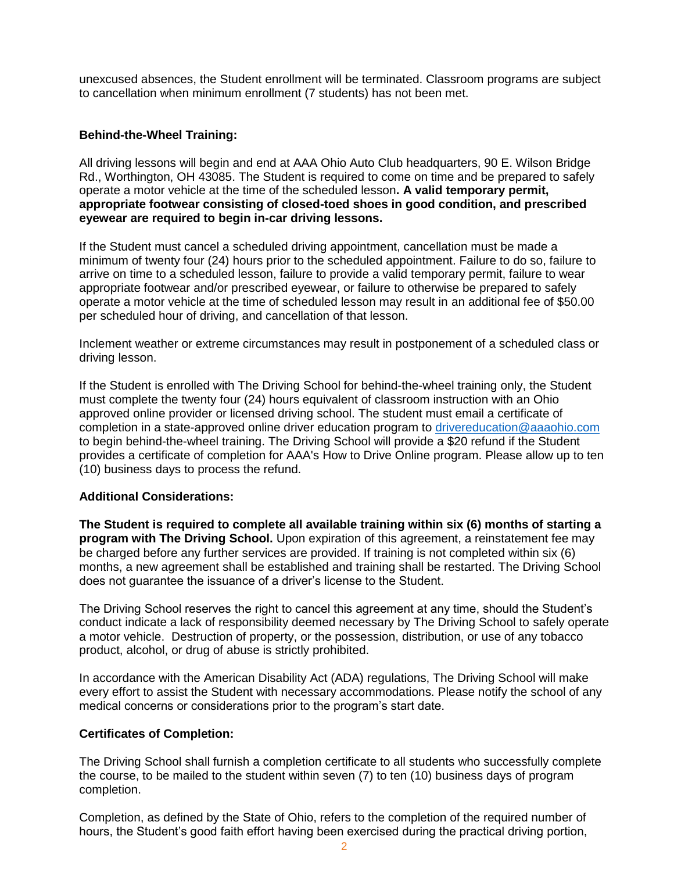unexcused absences, the Student enrollment will be terminated. Classroom programs are subject to cancellation when minimum enrollment (7 students) has not been met.

#### **Behind-the-Wheel Training:**

All driving lessons will begin and end at AAA Ohio Auto Club headquarters, 90 E. Wilson Bridge Rd., Worthington, OH 43085. The Student is required to come on time and be prepared to safely operate a motor vehicle at the time of the scheduled lesson**. A valid temporary permit, appropriate footwear consisting of closed-toed shoes in good condition, and prescribed eyewear are required to begin in-car driving lessons.** 

If the Student must cancel a scheduled driving appointment, cancellation must be made a minimum of twenty four (24) hours prior to the scheduled appointment. Failure to do so, failure to arrive on time to a scheduled lesson, failure to provide a valid temporary permit, failure to wear appropriate footwear and/or prescribed eyewear, or failure to otherwise be prepared to safely operate a motor vehicle at the time of scheduled lesson may result in an additional fee of \$50.00 per scheduled hour of driving, and cancellation of that lesson.

Inclement weather or extreme circumstances may result in postponement of a scheduled class or driving lesson.

If the Student is enrolled with The Driving School for behind-the-wheel training only, the Student must complete the twenty four (24) hours equivalent of classroom instruction with an Ohio approved online provider or licensed driving school. The student must email a certificate of completion in a state-approved online driver education program to [drivereducation@aaaohio.com](mailto:drivereducation@aaaohio.com) to begin behind-the-wheel training. The Driving School will provide a \$20 refund if the Student provides a certificate of completion for AAA's How to Drive Online program. Please allow up to ten (10) business days to process the refund.

## **Additional Considerations:**

**The Student is required to complete all available training within six (6) months of starting a program with The Driving School.** Upon expiration of this agreement, a reinstatement fee may be charged before any further services are provided. If training is not completed within six (6) months, a new agreement shall be established and training shall be restarted. The Driving School does not guarantee the issuance of a driver's license to the Student.

The Driving School reserves the right to cancel this agreement at any time, should the Student's conduct indicate a lack of responsibility deemed necessary by The Driving School to safely operate a motor vehicle. Destruction of property, or the possession, distribution, or use of any tobacco product, alcohol, or drug of abuse is strictly prohibited.

In accordance with the American Disability Act (ADA) regulations, The Driving School will make every effort to assist the Student with necessary accommodations. Please notify the school of any medical concerns or considerations prior to the program's start date.

#### **Certificates of Completion:**

The Driving School shall furnish a completion certificate to all students who successfully complete the course, to be mailed to the student within seven (7) to ten (10) business days of program completion.

Completion, as defined by the State of Ohio, refers to the completion of the required number of hours, the Student's good faith effort having been exercised during the practical driving portion,